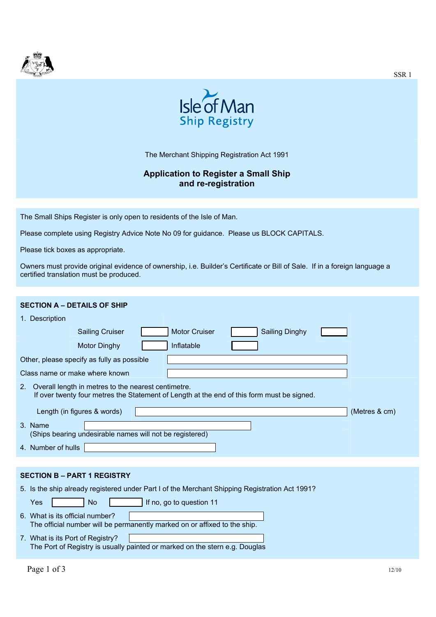



The Merchant Shipping Registration Act 1991

## **Application to Register a Small Ship and re-registration**

The Small Ships Register is only open to residents of the Isle of Man.

Please complete using Registry Advice Note No 09 for guidance. Please us BLOCK CAPITALS.

Please tick boxes as appropriate.

Owners must provide original evidence of ownership, i.e. Builder's Certificate or Bill of Sale. If in a foreign language a certified translation must be produced.

| <b>SECTION A - DETAILS OF SHIP</b>                                                                                                                                  |  |  |  |  |  |
|---------------------------------------------------------------------------------------------------------------------------------------------------------------------|--|--|--|--|--|
| 1. Description                                                                                                                                                      |  |  |  |  |  |
| <b>Motor Cruiser</b><br><b>Sailing Dinghy</b><br><b>Sailing Cruiser</b>                                                                                             |  |  |  |  |  |
| Inflatable<br><b>Motor Dinghy</b>                                                                                                                                   |  |  |  |  |  |
| Other, please specify as fully as possible                                                                                                                          |  |  |  |  |  |
| Class name or make where known                                                                                                                                      |  |  |  |  |  |
| Overall length in metres to the nearest centimetre.<br>2 <sub>1</sub><br>If over twenty four metres the Statement of Length at the end of this form must be signed. |  |  |  |  |  |
| Length (in figures & words)<br>(Metres & cm)                                                                                                                        |  |  |  |  |  |
| 3. Name<br>(Ships bearing undesirable names will not be registered)                                                                                                 |  |  |  |  |  |
| 4. Number of hulls                                                                                                                                                  |  |  |  |  |  |
|                                                                                                                                                                     |  |  |  |  |  |
| <b>SECTION B - PART 1 REGISTRY</b>                                                                                                                                  |  |  |  |  |  |
| 5. Is the ship already registered under Part I of the Merchant Shipping Registration Act 1991?                                                                      |  |  |  |  |  |
| If no, go to question 11<br>Yes<br><b>No</b>                                                                                                                        |  |  |  |  |  |
| 6. What is its official number?<br>The official number will be permanently marked on or affixed to the ship.                                                        |  |  |  |  |  |
| 7. What is its Port of Registry?<br>The Port of Registry is usually painted or marked on the stern e.g. Douglas                                                     |  |  |  |  |  |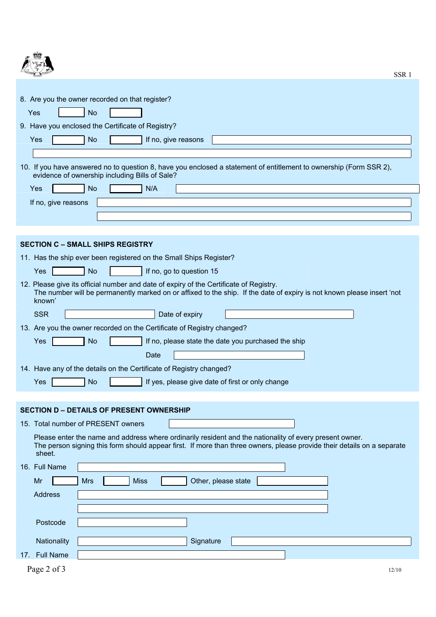| <b>No</b><br>Yes<br>9. Have you enclosed the Certificate of Registry?<br>Yes<br><b>No</b><br>If no, give reasons<br>10. If you have answered no to question 8, have you enclosed a statement of entitlement to ownership (Form SSR 2),<br>evidence of ownership including Bills of Sale?<br><b>No</b><br>N/A<br>Yes<br>If no, give reasons<br><b>SECTION C - SMALL SHIPS REGISTRY</b><br>11. Has the ship ever been registered on the Small Ships Register?<br><b>No</b><br>If no, go to question 15<br>Yes<br>12. Please give its official number and date of expiry of the Certificate of Registry.<br>The number will be permanently marked on or affixed to the ship. If the date of expiry is not known please insert 'not<br>known'<br><b>SSR</b><br>Date of expiry<br>13. Are you the owner recorded on the Certificate of Registry changed?<br>If no, please state the date you purchased the ship<br>Yes<br><b>No</b><br>Date<br>14. Have any of the details on the Certificate of Registry changed?<br>Yes<br><b>No</b><br>If yes, please give date of first or only change<br><b>SECTION D - DETAILS OF PRESENT OWNERSHIP</b><br>15. Total number of PRESENT owners<br>Please enter the name and address where ordinarily resident and the nationality of every present owner.<br>The person signing this form should appear first. If more than three owners, please provide their details on a separate<br>sheet.<br>16. Full Name<br><b>Miss</b><br>Other, please state<br>Mr<br><b>Mrs</b><br><b>Address</b> | 8. Are you the owner recorded on that register? |
|-----------------------------------------------------------------------------------------------------------------------------------------------------------------------------------------------------------------------------------------------------------------------------------------------------------------------------------------------------------------------------------------------------------------------------------------------------------------------------------------------------------------------------------------------------------------------------------------------------------------------------------------------------------------------------------------------------------------------------------------------------------------------------------------------------------------------------------------------------------------------------------------------------------------------------------------------------------------------------------------------------------------------------------------------------------------------------------------------------------------------------------------------------------------------------------------------------------------------------------------------------------------------------------------------------------------------------------------------------------------------------------------------------------------------------------------------------------------------------------------------------------------------------|-------------------------------------------------|
|                                                                                                                                                                                                                                                                                                                                                                                                                                                                                                                                                                                                                                                                                                                                                                                                                                                                                                                                                                                                                                                                                                                                                                                                                                                                                                                                                                                                                                                                                                                             |                                                 |
|                                                                                                                                                                                                                                                                                                                                                                                                                                                                                                                                                                                                                                                                                                                                                                                                                                                                                                                                                                                                                                                                                                                                                                                                                                                                                                                                                                                                                                                                                                                             |                                                 |
|                                                                                                                                                                                                                                                                                                                                                                                                                                                                                                                                                                                                                                                                                                                                                                                                                                                                                                                                                                                                                                                                                                                                                                                                                                                                                                                                                                                                                                                                                                                             |                                                 |
|                                                                                                                                                                                                                                                                                                                                                                                                                                                                                                                                                                                                                                                                                                                                                                                                                                                                                                                                                                                                                                                                                                                                                                                                                                                                                                                                                                                                                                                                                                                             |                                                 |
|                                                                                                                                                                                                                                                                                                                                                                                                                                                                                                                                                                                                                                                                                                                                                                                                                                                                                                                                                                                                                                                                                                                                                                                                                                                                                                                                                                                                                                                                                                                             |                                                 |
|                                                                                                                                                                                                                                                                                                                                                                                                                                                                                                                                                                                                                                                                                                                                                                                                                                                                                                                                                                                                                                                                                                                                                                                                                                                                                                                                                                                                                                                                                                                             |                                                 |
|                                                                                                                                                                                                                                                                                                                                                                                                                                                                                                                                                                                                                                                                                                                                                                                                                                                                                                                                                                                                                                                                                                                                                                                                                                                                                                                                                                                                                                                                                                                             |                                                 |
|                                                                                                                                                                                                                                                                                                                                                                                                                                                                                                                                                                                                                                                                                                                                                                                                                                                                                                                                                                                                                                                                                                                                                                                                                                                                                                                                                                                                                                                                                                                             |                                                 |
|                                                                                                                                                                                                                                                                                                                                                                                                                                                                                                                                                                                                                                                                                                                                                                                                                                                                                                                                                                                                                                                                                                                                                                                                                                                                                                                                                                                                                                                                                                                             |                                                 |
|                                                                                                                                                                                                                                                                                                                                                                                                                                                                                                                                                                                                                                                                                                                                                                                                                                                                                                                                                                                                                                                                                                                                                                                                                                                                                                                                                                                                                                                                                                                             |                                                 |
|                                                                                                                                                                                                                                                                                                                                                                                                                                                                                                                                                                                                                                                                                                                                                                                                                                                                                                                                                                                                                                                                                                                                                                                                                                                                                                                                                                                                                                                                                                                             |                                                 |
|                                                                                                                                                                                                                                                                                                                                                                                                                                                                                                                                                                                                                                                                                                                                                                                                                                                                                                                                                                                                                                                                                                                                                                                                                                                                                                                                                                                                                                                                                                                             |                                                 |
|                                                                                                                                                                                                                                                                                                                                                                                                                                                                                                                                                                                                                                                                                                                                                                                                                                                                                                                                                                                                                                                                                                                                                                                                                                                                                                                                                                                                                                                                                                                             |                                                 |
|                                                                                                                                                                                                                                                                                                                                                                                                                                                                                                                                                                                                                                                                                                                                                                                                                                                                                                                                                                                                                                                                                                                                                                                                                                                                                                                                                                                                                                                                                                                             |                                                 |
|                                                                                                                                                                                                                                                                                                                                                                                                                                                                                                                                                                                                                                                                                                                                                                                                                                                                                                                                                                                                                                                                                                                                                                                                                                                                                                                                                                                                                                                                                                                             |                                                 |
|                                                                                                                                                                                                                                                                                                                                                                                                                                                                                                                                                                                                                                                                                                                                                                                                                                                                                                                                                                                                                                                                                                                                                                                                                                                                                                                                                                                                                                                                                                                             |                                                 |
|                                                                                                                                                                                                                                                                                                                                                                                                                                                                                                                                                                                                                                                                                                                                                                                                                                                                                                                                                                                                                                                                                                                                                                                                                                                                                                                                                                                                                                                                                                                             |                                                 |
|                                                                                                                                                                                                                                                                                                                                                                                                                                                                                                                                                                                                                                                                                                                                                                                                                                                                                                                                                                                                                                                                                                                                                                                                                                                                                                                                                                                                                                                                                                                             |                                                 |
|                                                                                                                                                                                                                                                                                                                                                                                                                                                                                                                                                                                                                                                                                                                                                                                                                                                                                                                                                                                                                                                                                                                                                                                                                                                                                                                                                                                                                                                                                                                             |                                                 |
|                                                                                                                                                                                                                                                                                                                                                                                                                                                                                                                                                                                                                                                                                                                                                                                                                                                                                                                                                                                                                                                                                                                                                                                                                                                                                                                                                                                                                                                                                                                             |                                                 |
|                                                                                                                                                                                                                                                                                                                                                                                                                                                                                                                                                                                                                                                                                                                                                                                                                                                                                                                                                                                                                                                                                                                                                                                                                                                                                                                                                                                                                                                                                                                             |                                                 |
|                                                                                                                                                                                                                                                                                                                                                                                                                                                                                                                                                                                                                                                                                                                                                                                                                                                                                                                                                                                                                                                                                                                                                                                                                                                                                                                                                                                                                                                                                                                             |                                                 |
|                                                                                                                                                                                                                                                                                                                                                                                                                                                                                                                                                                                                                                                                                                                                                                                                                                                                                                                                                                                                                                                                                                                                                                                                                                                                                                                                                                                                                                                                                                                             |                                                 |
|                                                                                                                                                                                                                                                                                                                                                                                                                                                                                                                                                                                                                                                                                                                                                                                                                                                                                                                                                                                                                                                                                                                                                                                                                                                                                                                                                                                                                                                                                                                             |                                                 |
|                                                                                                                                                                                                                                                                                                                                                                                                                                                                                                                                                                                                                                                                                                                                                                                                                                                                                                                                                                                                                                                                                                                                                                                                                                                                                                                                                                                                                                                                                                                             |                                                 |
|                                                                                                                                                                                                                                                                                                                                                                                                                                                                                                                                                                                                                                                                                                                                                                                                                                                                                                                                                                                                                                                                                                                                                                                                                                                                                                                                                                                                                                                                                                                             |                                                 |
|                                                                                                                                                                                                                                                                                                                                                                                                                                                                                                                                                                                                                                                                                                                                                                                                                                                                                                                                                                                                                                                                                                                                                                                                                                                                                                                                                                                                                                                                                                                             |                                                 |
|                                                                                                                                                                                                                                                                                                                                                                                                                                                                                                                                                                                                                                                                                                                                                                                                                                                                                                                                                                                                                                                                                                                                                                                                                                                                                                                                                                                                                                                                                                                             | Postcode                                        |
| Nationality<br>Signature                                                                                                                                                                                                                                                                                                                                                                                                                                                                                                                                                                                                                                                                                                                                                                                                                                                                                                                                                                                                                                                                                                                                                                                                                                                                                                                                                                                                                                                                                                    |                                                 |
| <b>Full Name</b><br>17.                                                                                                                                                                                                                                                                                                                                                                                                                                                                                                                                                                                                                                                                                                                                                                                                                                                                                                                                                                                                                                                                                                                                                                                                                                                                                                                                                                                                                                                                                                     |                                                 |
| Page 2 of 3<br>12/10                                                                                                                                                                                                                                                                                                                                                                                                                                                                                                                                                                                                                                                                                                                                                                                                                                                                                                                                                                                                                                                                                                                                                                                                                                                                                                                                                                                                                                                                                                        |                                                 |

SSR 1